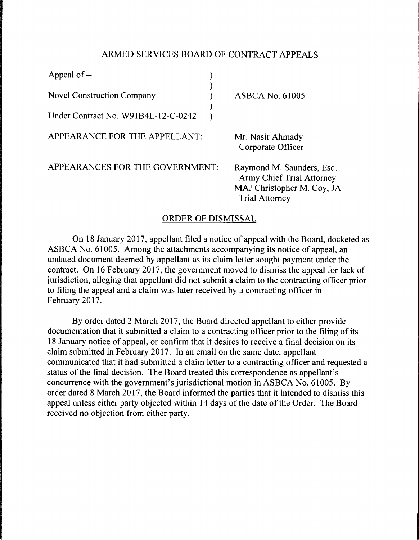## ARMED SERVICES BOARD OF CONTRACT APPEALS

| Appeal of --                        |                                                                                                                      |
|-------------------------------------|----------------------------------------------------------------------------------------------------------------------|
| <b>Novel Construction Company</b>   | <b>ASBCA No. 61005</b>                                                                                               |
| Under Contract No. W91B4L-12-C-0242 |                                                                                                                      |
| APPEARANCE FOR THE APPELLANT:       | Mr. Nasir Ahmady<br>Corporate Officer                                                                                |
| APPEARANCES FOR THE GOVERNMENT:     | Raymond M. Saunders, Esq.<br><b>Army Chief Trial Attorney</b><br>MAJ Christopher M. Coy, JA<br><b>Trial Attorney</b> |

## ORDER OF DISMISSAL

On 18 January 2017, appellant filed a notice of appeal with the Board, docketed as ASBCA No. 61005. Among the attachments accompanying its notice of appeal, an undated document deemed by appellant as its claim letter sought payment under the contract. On 16 February 2017, the government moved to dismiss the appeal for lack of jurisdiction, alleging that appellant did not submit a claim to the contracting officer prior to filing the appeal and a claim was later received by a contracting officer in February 2017.

By order dated 2 March 2017, the Board directed appellant to either provide documentation that it submitted a claim to a contracting officer prior to the filing of its 18 January notice of appeal, or confirm that it desires to receive a final decision on its claim submitted in February 2017. In an email on the same date, appellant communicated that it had submitted a claim letter to a contracting officer and requested a status of the final decision. The Board treated this correspondence as appellant's concurrence with the government's jurisdictional motion in ASBCA No. 61005. By order dated 8 March 2017, the Board informed the parties that it intended to dismiss this appeal unless either party objected within 14 days of the date of the Order. The Board received no objection from either party.